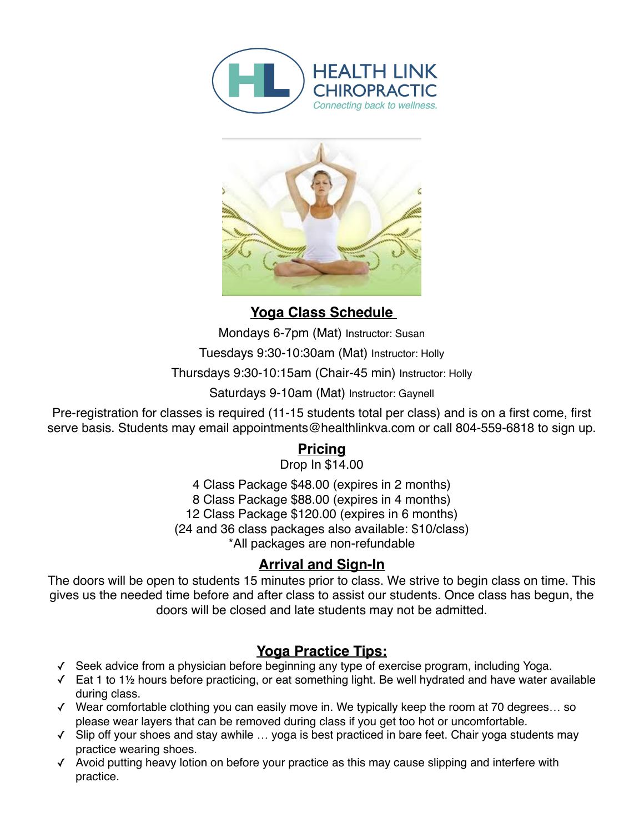



**Yoga Class Schedule** 

Mondays 6-7pm (Mat) Instructor: Susan

Tuesdays 9:30-10:30am (Mat) Instructor: Holly

Thursdays 9:30-10:15am (Chair-45 min) Instructor: Holly

Saturdays 9-10am (Mat) Instructor: Gaynell

Pre-registration for classes is required (11-15 students total per class) and is on a first come, first serve basis. Students may email appointments@healthlinkva.com or call 804-559-6818 to sign up.

# **Pricing**

Drop In \$14.00

4 Class Package \$48.00 (expires in 2 months) 8 Class Package \$88.00 (expires in 4 months) 12 Class Package \$120.00 (expires in 6 months) (24 and 36 class packages also available: \$10/class) \*All packages are non-refundable

# **Arrival and Sign-In**

The doors will be open to students 15 minutes prior to class. We strive to begin class on time. This gives us the needed time before and after class to assist our students. Once class has begun, the doors will be closed and late students may not be admitted.

# **Yoga Practice Tips:**

- ✓ Seek advice from a physician before beginning any type of exercise program, including Yoga.
- ✓ Eat 1 to 1½ hours before practicing, or eat something light. Be well hydrated and have water available during class.
- ✓ Wear comfortable clothing you can easily move in. We typically keep the room at 70 degrees… so please wear layers that can be removed during class if you get too hot or uncomfortable.
- ✓ Slip off your shoes and stay awhile … yoga is best practiced in bare feet. Chair yoga students may practice wearing shoes.
- ✓ Avoid putting heavy lotion on before your practice as this may cause slipping and interfere with practice.